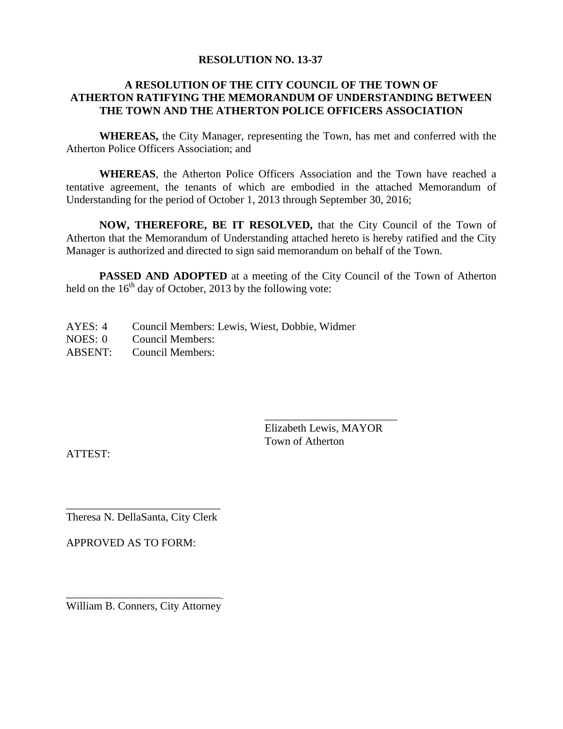#### **RESOLUTION NO. 13-37**

# **A RESOLUTION OF THE CITY COUNCIL OF THE TOWN OF ATHERTON RATIFYING THE MEMORANDUM OF UNDERSTANDING BETWEEN THE TOWN AND THE ATHERTON POLICE OFFICERS ASSOCIATION**

**WHEREAS,** the City Manager, representing the Town, has met and conferred with the Atherton Police Officers Association; and

**WHEREAS**, the Atherton Police Officers Association and the Town have reached a tentative agreement, the tenants of which are embodied in the attached Memorandum of Understanding for the period of October 1, 2013 through September 30, 2016;

**NOW, THEREFORE, BE IT RESOLVED,** that the City Council of the Town of Atherton that the Memorandum of Understanding attached hereto is hereby ratified and the City Manager is authorized and directed to sign said memorandum on behalf of the Town.

**PASSED AND ADOPTED** at a meeting of the City Council of the Town of Atherton held on the  $16<sup>th</sup>$  day of October, 2013 by the following vote:

AYES: 4 Council Members: Lewis, Wiest, Dobbie, Widmer NOES: 0 Council Members: ABSENT: Council Members:

> \_\_\_\_\_\_\_\_\_\_\_\_\_\_\_\_\_\_\_\_\_\_\_\_ Elizabeth Lewis, MAYOR Town of Atherton

ATTEST:

\_\_\_\_\_\_\_\_\_\_\_\_\_\_\_\_\_\_\_\_\_\_\_\_\_\_\_\_ Theresa N. DellaSanta, City Clerk

APPROVED AS TO FORM:

\_\_\_\_\_\_\_\_\_\_\_\_\_\_\_\_\_\_\_\_\_\_\_\_\_\_\_\_ William B. Conners, City Attorney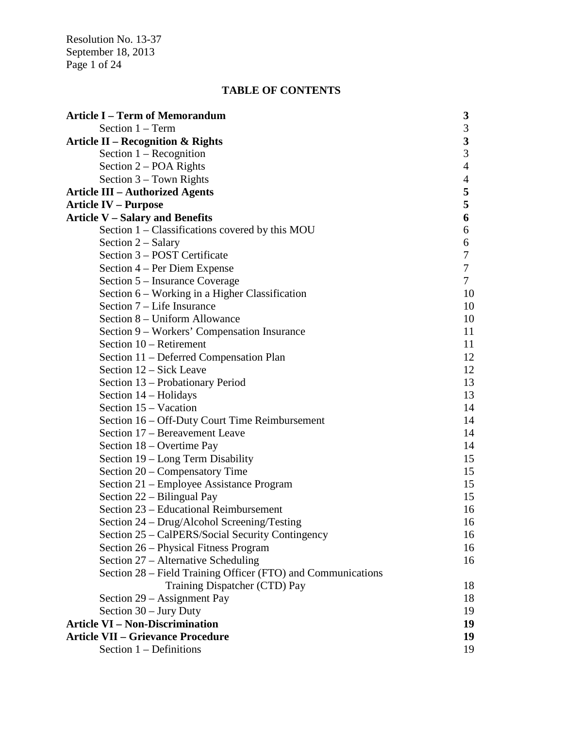Resolution No. 13-37 September 18, 2013 Page 1 of 24

# **TABLE OF CONTENTS**

| <b>Article I – Term of Memorandum</b>                        | 3                       |
|--------------------------------------------------------------|-------------------------|
| Section $1 - Term$                                           | 3                       |
| Article II – Recognition & Rights                            | $\overline{\mathbf{3}}$ |
| Section $1 -$ Recognition                                    | 3                       |
| Section $2 - POA$ Rights                                     | $\overline{4}$          |
| Section $3$ – Town Rights                                    | $\overline{4}$          |
| <b>Article III – Authorized Agents</b>                       | 5                       |
| <b>Article IV – Purpose</b>                                  | 5                       |
| <b>Article V - Salary and Benefits</b>                       | 6                       |
| Section 1 - Classifications covered by this MOU              | 6                       |
| Section 2 – Salary                                           | 6                       |
| Section 3 – POST Certificate                                 | 7                       |
| Section 4 – Per Diem Expense                                 | 7                       |
| Section 5 – Insurance Coverage                               | 7                       |
| Section 6 – Working in a Higher Classification               | 10                      |
| Section 7 – Life Insurance                                   | 10                      |
| Section 8 – Uniform Allowance                                | 10                      |
| Section 9 – Workers' Compensation Insurance                  | 11                      |
| Section 10 – Retirement                                      | 11                      |
| Section 11 - Deferred Compensation Plan                      | 12                      |
| Section 12 – Sick Leave                                      | 12                      |
| Section 13 - Probationary Period                             | 13                      |
| Section 14 – Holidays                                        | 13                      |
| Section 15 – Vacation                                        | 14                      |
| Section 16 – Off-Duty Court Time Reimbursement               | 14                      |
| Section 17 – Bereavement Leave                               | 14                      |
| Section 18 – Overtime Pay                                    | 14                      |
| Section 19 – Long Term Disability                            | 15                      |
| Section 20 – Compensatory Time                               | 15                      |
| Section 21 – Employee Assistance Program                     | 15                      |
| Section 22 – Bilingual Pay                                   | 15                      |
| Section 23 – Educational Reimbursement                       | 16                      |
| Section 24 – Drug/Alcohol Screening/Testing                  | 16                      |
| Section 25 - CalPERS/Social Security Contingency             | 16                      |
| Section 26 – Physical Fitness Program                        | 16                      |
| Section 27 – Alternative Scheduling                          | 16                      |
| Section 28 – Field Training Officer (FTO) and Communications |                         |
| Training Dispatcher (CTD) Pay                                | 18                      |
| Section 29 – Assignment Pay                                  | 18                      |
| Section $30 -$ Jury Duty                                     | 19                      |
| <b>Article VI - Non-Discrimination</b>                       | 19                      |
| <b>Article VII - Grievance Procedure</b>                     | 19                      |
| Section $1$ – Definitions                                    | 19                      |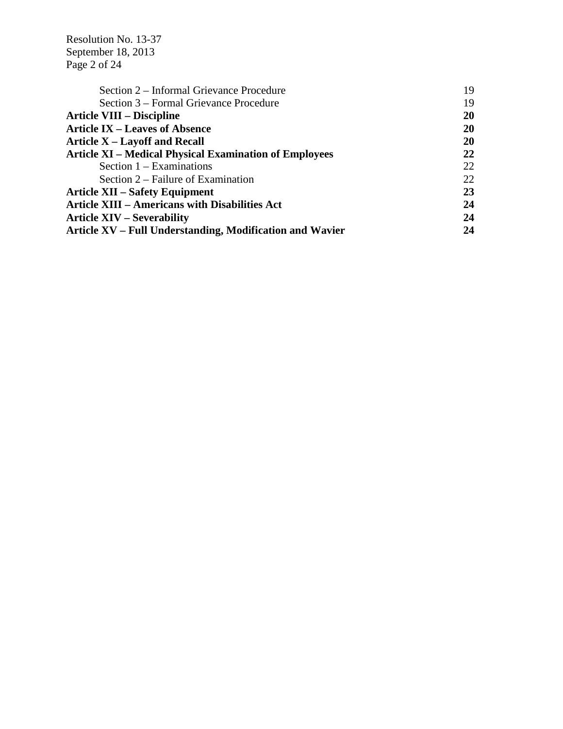Resolution No. 13-37 September 18, 2013 Page 2 of 24

| Section 2 – Informal Grievance Procedure                      | 19 |
|---------------------------------------------------------------|----|
| Section 3 – Formal Grievance Procedure                        | 19 |
| <b>Article VIII – Discipline</b>                              | 20 |
| <b>Article IX – Leaves of Absence</b>                         | 20 |
| <b>Article X – Layoff and Recall</b>                          | 20 |
| <b>Article XI – Medical Physical Examination of Employees</b> | 22 |
| Section $1 - Examinations$                                    | 22 |
| Section 2 – Failure of Examination                            | 22 |
| <b>Article XII – Safety Equipment</b>                         | 23 |
| <b>Article XIII - Americans with Disabilities Act</b>         | 24 |
| <b>Article XIV – Severability</b>                             | 24 |
| Article XV – Full Understanding, Modification and Wavier      | 24 |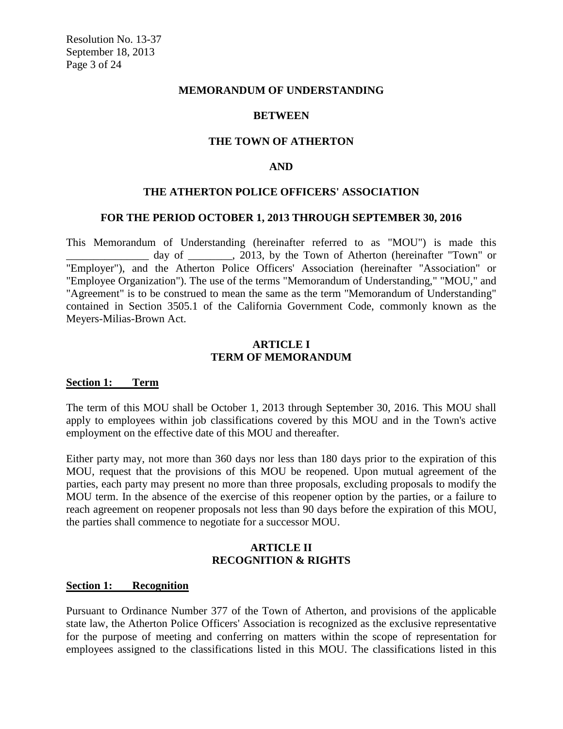#### **MEMORANDUM OF UNDERSTANDING**

#### **BETWEEN**

#### **THE TOWN OF ATHERTON**

#### **AND**

#### **THE ATHERTON POLICE OFFICERS' ASSOCIATION**

#### **FOR THE PERIOD OCTOBER 1, 2013 THROUGH SEPTEMBER 30, 2016**

This Memorandum of Understanding (hereinafter referred to as "MOU") is made this day of \_\_\_\_\_\_\_, 2013, by the Town of Atherton (hereinafter "Town" or "Employer"), and the Atherton Police Officers' Association (hereinafter "Association" or "Employee Organization"). The use of the terms "Memorandum of Understanding," "MOU," and "Agreement" is to be construed to mean the same as the term "Memorandum of Understanding" contained in Section 3505.1 of the California Government Code, commonly known as the Meyers-Milias-Brown Act.

# **ARTICLE I TERM OF MEMORANDUM**

#### **Section 1: Term**

The term of this MOU shall be October 1, 2013 through September 30, 2016. This MOU shall apply to employees within job classifications covered by this MOU and in the Town's active employment on the effective date of this MOU and thereafter.

Either party may, not more than 360 days nor less than 180 days prior to the expiration of this MOU, request that the provisions of this MOU be reopened. Upon mutual agreement of the parties, each party may present no more than three proposals, excluding proposals to modify the MOU term. In the absence of the exercise of this reopener option by the parties, or a failure to reach agreement on reopener proposals not less than 90 days before the expiration of this MOU, the parties shall commence to negotiate for a successor MOU.

#### **ARTICLE II RECOGNITION & RIGHTS**

#### **Section 1: Recognition**

Pursuant to Ordinance Number 377 of the Town of Atherton, and provisions of the applicable state law, the Atherton Police Officers' Association is recognized as the exclusive representative for the purpose of meeting and conferring on matters within the scope of representation for employees assigned to the classifications listed in this MOU. The classifications listed in this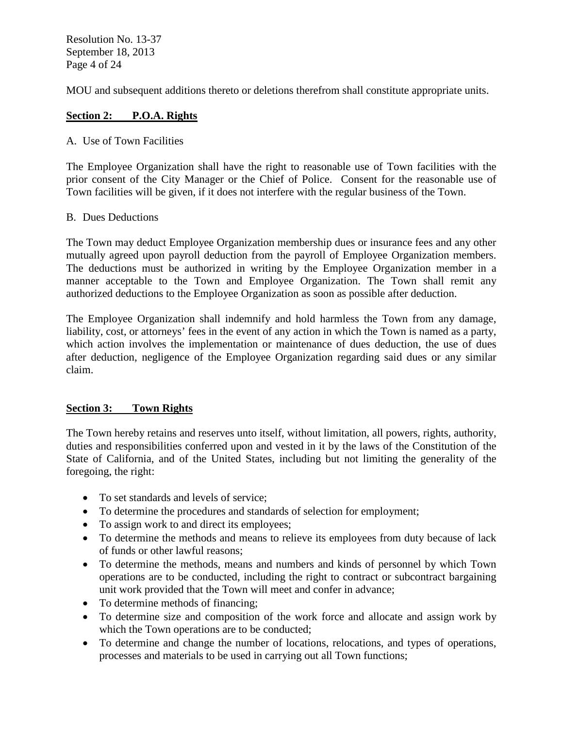Resolution No. 13-37 September 18, 2013 Page 4 of 24

MOU and subsequent additions thereto or deletions therefrom shall constitute appropriate units.

# **Section 2: P.O.A. Rights**

# A. Use of Town Facilities

The Employee Organization shall have the right to reasonable use of Town facilities with the prior consent of the City Manager or the Chief of Police. Consent for the reasonable use of Town facilities will be given, if it does not interfere with the regular business of the Town.

# B. Dues Deductions

The Town may deduct Employee Organization membership dues or insurance fees and any other mutually agreed upon payroll deduction from the payroll of Employee Organization members. The deductions must be authorized in writing by the Employee Organization member in a manner acceptable to the Town and Employee Organization. The Town shall remit any authorized deductions to the Employee Organization as soon as possible after deduction.

The Employee Organization shall indemnify and hold harmless the Town from any damage, liability, cost, or attorneys' fees in the event of any action in which the Town is named as a party, which action involves the implementation or maintenance of dues deduction, the use of dues after deduction, negligence of the Employee Organization regarding said dues or any similar claim.

# **Section 3: Town Rights**

The Town hereby retains and reserves unto itself, without limitation, all powers, rights, authority, duties and responsibilities conferred upon and vested in it by the laws of the Constitution of the State of California, and of the United States, including but not limiting the generality of the foregoing, the right:

- To set standards and levels of service:
- To determine the procedures and standards of selection for employment;
- To assign work to and direct its employees;
- To determine the methods and means to relieve its employees from duty because of lack of funds or other lawful reasons;
- To determine the methods, means and numbers and kinds of personnel by which Town operations are to be conducted, including the right to contract or subcontract bargaining unit work provided that the Town will meet and confer in advance;
- To determine methods of financing;
- To determine size and composition of the work force and allocate and assign work by which the Town operations are to be conducted;
- To determine and change the number of locations, relocations, and types of operations, processes and materials to be used in carrying out all Town functions;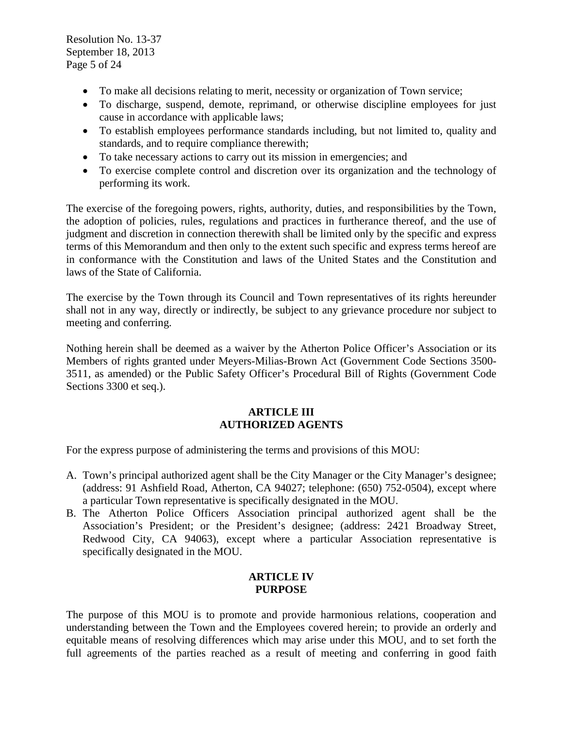Resolution No. 13-37 September 18, 2013 Page 5 of 24

- To make all decisions relating to merit, necessity or organization of Town service;
- To discharge, suspend, demote, reprimand, or otherwise discipline employees for just cause in accordance with applicable laws;
- To establish employees performance standards including, but not limited to, quality and standards, and to require compliance therewith;
- To take necessary actions to carry out its mission in emergencies; and
- To exercise complete control and discretion over its organization and the technology of performing its work.

The exercise of the foregoing powers, rights, authority, duties, and responsibilities by the Town, the adoption of policies, rules, regulations and practices in furtherance thereof, and the use of judgment and discretion in connection therewith shall be limited only by the specific and express terms of this Memorandum and then only to the extent such specific and express terms hereof are in conformance with the Constitution and laws of the United States and the Constitution and laws of the State of California.

The exercise by the Town through its Council and Town representatives of its rights hereunder shall not in any way, directly or indirectly, be subject to any grievance procedure nor subject to meeting and conferring.

Nothing herein shall be deemed as a waiver by the Atherton Police Officer's Association or its Members of rights granted under Meyers-Milias-Brown Act (Government Code Sections 3500- 3511, as amended) or the Public Safety Officer's Procedural Bill of Rights (Government Code Sections 3300 et seq.).

#### **ARTICLE III AUTHORIZED AGENTS**

For the express purpose of administering the terms and provisions of this MOU:

- A. Town's principal authorized agent shall be the City Manager or the City Manager's designee; (address: 91 Ashfield Road, Atherton, CA 94027; telephone: (650) 752-0504), except where a particular Town representative is specifically designated in the MOU.
- B. The Atherton Police Officers Association principal authorized agent shall be the Association's President; or the President's designee; (address: 2421 Broadway Street, Redwood City, CA 94063), except where a particular Association representative is specifically designated in the MOU.

# **ARTICLE IV PURPOSE**

The purpose of this MOU is to promote and provide harmonious relations, cooperation and understanding between the Town and the Employees covered herein; to provide an orderly and equitable means of resolving differences which may arise under this MOU, and to set forth the full agreements of the parties reached as a result of meeting and conferring in good faith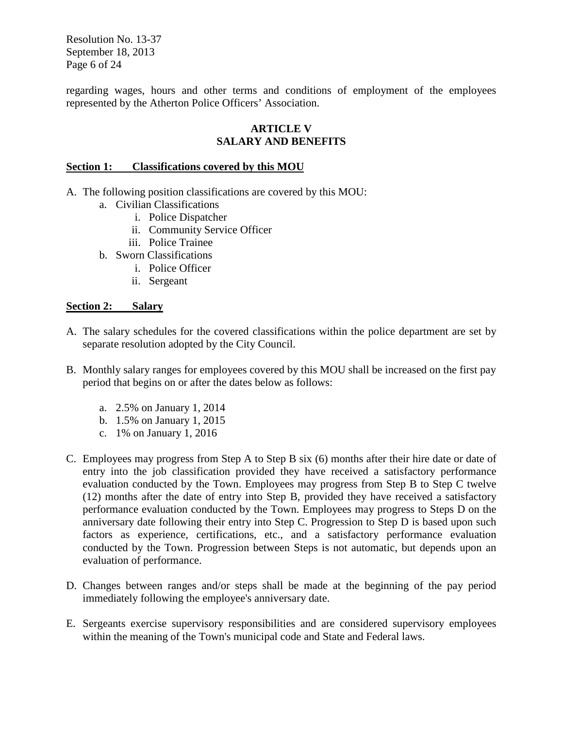Resolution No. 13-37 September 18, 2013 Page 6 of 24

regarding wages, hours and other terms and conditions of employment of the employees represented by the Atherton Police Officers' Association.

# **ARTICLE V SALARY AND BENEFITS**

## **Section 1: Classifications covered by this MOU**

- A. The following position classifications are covered by this MOU:
	- a. Civilian Classifications
		- i. Police Dispatcher
		- ii. Community Service Officer
		- iii. Police Trainee
	- b. Sworn Classifications
		- i. Police Officer
		- ii. Sergeant

#### **Section 2: Salary**

- A. The salary schedules for the covered classifications within the police department are set by separate resolution adopted by the City Council.
- B. Monthly salary ranges for employees covered by this MOU shall be increased on the first pay period that begins on or after the dates below as follows:
	- a. 2.5% on January 1, 2014
	- b. 1.5% on January 1, 2015
	- c. 1% on January 1, 2016
- C. Employees may progress from Step A to Step B six (6) months after their hire date or date of entry into the job classification provided they have received a satisfactory performance evaluation conducted by the Town. Employees may progress from Step B to Step C twelve (12) months after the date of entry into Step B, provided they have received a satisfactory performance evaluation conducted by the Town. Employees may progress to Steps D on the anniversary date following their entry into Step C. Progression to Step D is based upon such factors as experience, certifications, etc., and a satisfactory performance evaluation conducted by the Town. Progression between Steps is not automatic, but depends upon an evaluation of performance.
- D. Changes between ranges and/or steps shall be made at the beginning of the pay period immediately following the employee's anniversary date.
- E. Sergeants exercise supervisory responsibilities and are considered supervisory employees within the meaning of the Town's municipal code and State and Federal laws.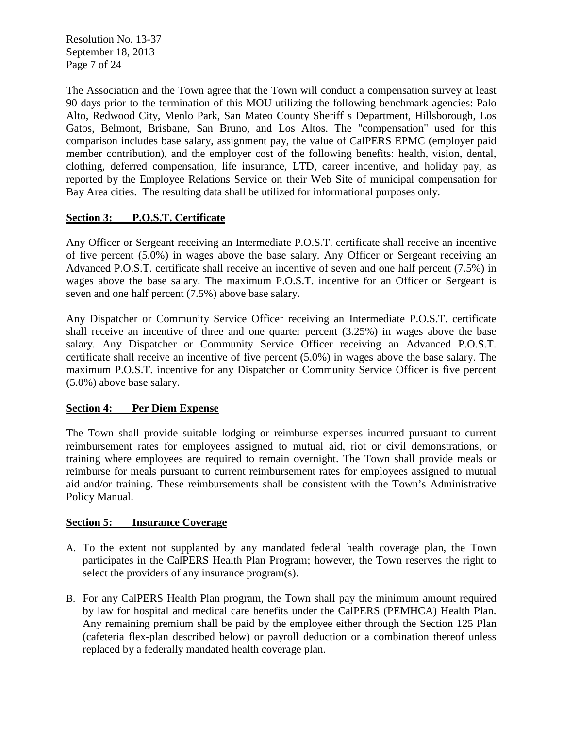Resolution No. 13-37 September 18, 2013 Page 7 of 24

The Association and the Town agree that the Town will conduct a compensation survey at least 90 days prior to the termination of this MOU utilizing the following benchmark agencies: Palo Alto, Redwood City, Menlo Park, San Mateo County Sheriff s Department, Hillsborough, Los Gatos, Belmont, Brisbane, San Bruno, and Los Altos. The "compensation" used for this comparison includes base salary, assignment pay, the value of CalPERS EPMC (employer paid member contribution), and the employer cost of the following benefits: health, vision, dental, clothing, deferred compensation, life insurance, LTD, career incentive, and holiday pay, as reported by the Employee Relations Service on their Web Site of municipal compensation for Bay Area cities. The resulting data shall be utilized for informational purposes only.

# **Section 3: P.O.S.T. Certificate**

Any Officer or Sergeant receiving an Intermediate P.O.S.T. certificate shall receive an incentive of five percent (5.0%) in wages above the base salary. Any Officer or Sergeant receiving an Advanced P.O.S.T. certificate shall receive an incentive of seven and one half percent (7.5%) in wages above the base salary. The maximum P.O.S.T. incentive for an Officer or Sergeant is seven and one half percent (7.5%) above base salary.

Any Dispatcher or Community Service Officer receiving an Intermediate P.O.S.T. certificate shall receive an incentive of three and one quarter percent (3.25%) in wages above the base salary. Any Dispatcher or Community Service Officer receiving an Advanced P.O.S.T. certificate shall receive an incentive of five percent (5.0%) in wages above the base salary. The maximum P.O.S.T. incentive for any Dispatcher or Community Service Officer is five percent (5.0%) above base salary.

# **Section 4: Per Diem Expense**

The Town shall provide suitable lodging or reimburse expenses incurred pursuant to current reimbursement rates for employees assigned to mutual aid, riot or civil demonstrations, or training where employees are required to remain overnight. The Town shall provide meals or reimburse for meals pursuant to current reimbursement rates for employees assigned to mutual aid and/or training. These reimbursements shall be consistent with the Town's Administrative Policy Manual.

# **Section 5: Insurance Coverage**

- A. To the extent not supplanted by any mandated federal health coverage plan, the Town participates in the CalPERS Health Plan Program; however, the Town reserves the right to select the providers of any insurance program(s).
- B. For any CalPERS Health Plan program, the Town shall pay the minimum amount required by law for hospital and medical care benefits under the CalPERS (PEMHCA) Health Plan. Any remaining premium shall be paid by the employee either through the Section 125 Plan (cafeteria flex-plan described below) or payroll deduction or a combination thereof unless replaced by a federally mandated health coverage plan.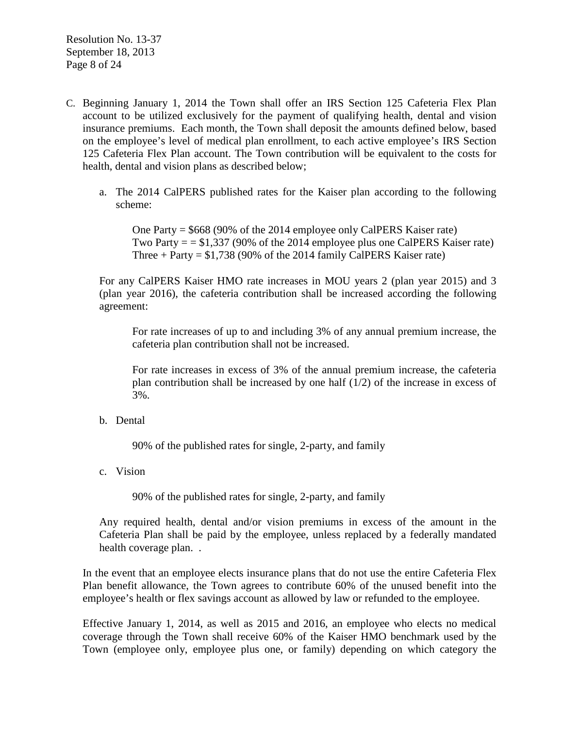- C. Beginning January 1, 2014 the Town shall offer an IRS Section 125 Cafeteria Flex Plan account to be utilized exclusively for the payment of qualifying health, dental and vision insurance premiums. Each month, the Town shall deposit the amounts defined below, based on the employee's level of medical plan enrollment, to each active employee's IRS Section 125 Cafeteria Flex Plan account. The Town contribution will be equivalent to the costs for health, dental and vision plans as described below;
	- a. The 2014 CalPERS published rates for the Kaiser plan according to the following scheme:

One Party = \$668 (90% of the 2014 employee only CalPERS Kaiser rate) Two Party  $=$  = \$1,337 (90% of the 2014 employee plus one CalPERS Kaiser rate) Three  $+$  Party = \$1,738 (90% of the 2014 family CalPERS Kaiser rate)

For any CalPERS Kaiser HMO rate increases in MOU years 2 (plan year 2015) and 3 (plan year 2016), the cafeteria contribution shall be increased according the following agreement:

For rate increases of up to and including 3% of any annual premium increase, the cafeteria plan contribution shall not be increased.

For rate increases in excess of 3% of the annual premium increase, the cafeteria plan contribution shall be increased by one half (1/2) of the increase in excess of 3%.

b. Dental

90% of the published rates for single, 2-party, and family

c. Vision

90% of the published rates for single, 2-party, and family

Any required health, dental and/or vision premiums in excess of the amount in the Cafeteria Plan shall be paid by the employee, unless replaced by a federally mandated health coverage plan. .

In the event that an employee elects insurance plans that do not use the entire Cafeteria Flex Plan benefit allowance, the Town agrees to contribute 60% of the unused benefit into the employee's health or flex savings account as allowed by law or refunded to the employee.

Effective January 1, 2014, as well as 2015 and 2016, an employee who elects no medical coverage through the Town shall receive 60% of the Kaiser HMO benchmark used by the Town (employee only, employee plus one, or family) depending on which category the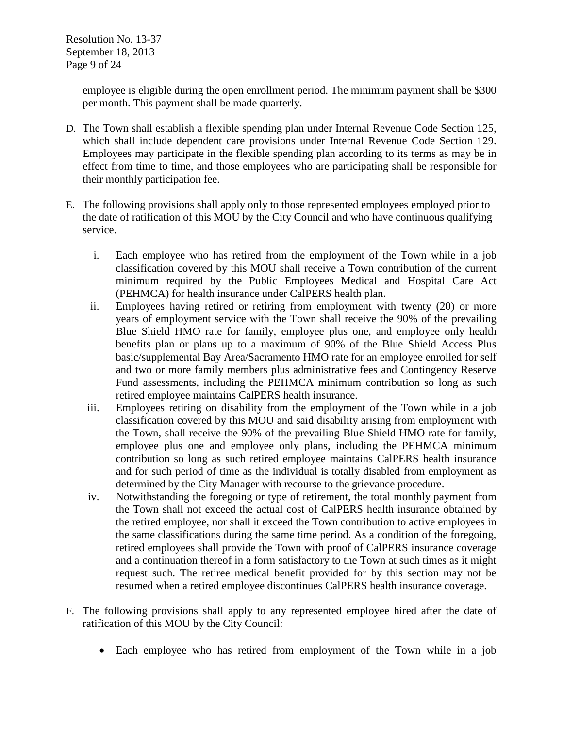Resolution No. 13-37 September 18, 2013 Page 9 of 24

> employee is eligible during the open enrollment period. The minimum payment shall be \$300 per month. This payment shall be made quarterly.

- D. The Town shall establish a flexible spending plan under Internal Revenue Code Section 125, which shall include dependent care provisions under Internal Revenue Code Section 129. Employees may participate in the flexible spending plan according to its terms as may be in effect from time to time, and those employees who are participating shall be responsible for their monthly participation fee.
- E. The following provisions shall apply only to those represented employees employed prior to the date of ratification of this MOU by the City Council and who have continuous qualifying service.
	- i. Each employee who has retired from the employment of the Town while in a job classification covered by this MOU shall receive a Town contribution of the current minimum required by the Public Employees Medical and Hospital Care Act (PEHMCA) for health insurance under CalPERS health plan.
	- ii. Employees having retired or retiring from employment with twenty (20) or more years of employment service with the Town shall receive the 90% of the prevailing Blue Shield HMO rate for family, employee plus one, and employee only health benefits plan or plans up to a maximum of 90% of the Blue Shield Access Plus basic/supplemental Bay Area/Sacramento HMO rate for an employee enrolled for self and two or more family members plus administrative fees and Contingency Reserve Fund assessments, including the PEHMCA minimum contribution so long as such retired employee maintains CalPERS health insurance.
	- iii. Employees retiring on disability from the employment of the Town while in a job classification covered by this MOU and said disability arising from employment with the Town, shall receive the 90% of the prevailing Blue Shield HMO rate for family, employee plus one and employee only plans, including the PEHMCA minimum contribution so long as such retired employee maintains CalPERS health insurance and for such period of time as the individual is totally disabled from employment as determined by the City Manager with recourse to the grievance procedure.
	- iv. Notwithstanding the foregoing or type of retirement, the total monthly payment from the Town shall not exceed the actual cost of CalPERS health insurance obtained by the retired employee, nor shall it exceed the Town contribution to active employees in the same classifications during the same time period. As a condition of the foregoing, retired employees shall provide the Town with proof of CalPERS insurance coverage and a continuation thereof in a form satisfactory to the Town at such times as it might request such. The retiree medical benefit provided for by this section may not be resumed when a retired employee discontinues CalPERS health insurance coverage.
- F. The following provisions shall apply to any represented employee hired after the date of ratification of this MOU by the City Council:
	- Each employee who has retired from employment of the Town while in a job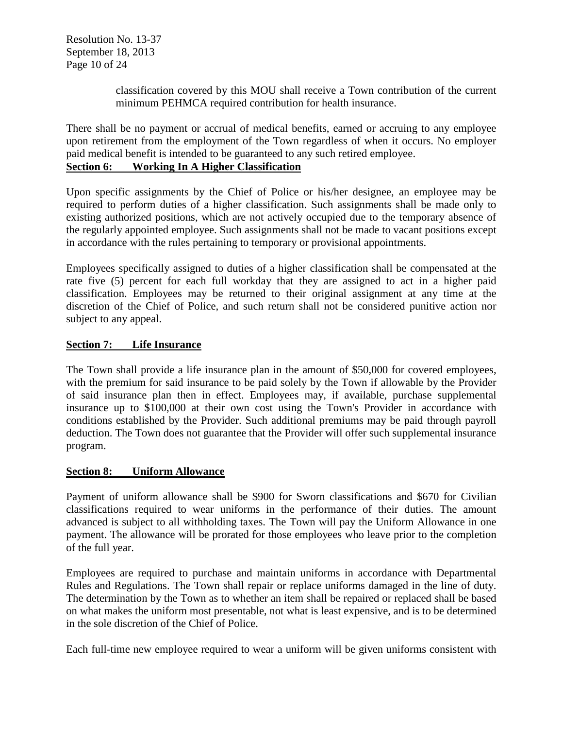Resolution No. 13-37 September 18, 2013 Page 10 of 24

> classification covered by this MOU shall receive a Town contribution of the current minimum PEHMCA required contribution for health insurance.

There shall be no payment or accrual of medical benefits, earned or accruing to any employee upon retirement from the employment of the Town regardless of when it occurs. No employer paid medical benefit is intended to be guaranteed to any such retired employee.

# **Section 6: Working In A Higher Classification**

Upon specific assignments by the Chief of Police or his/her designee, an employee may be required to perform duties of a higher classification. Such assignments shall be made only to existing authorized positions, which are not actively occupied due to the temporary absence of the regularly appointed employee. Such assignments shall not be made to vacant positions except in accordance with the rules pertaining to temporary or provisional appointments.

Employees specifically assigned to duties of a higher classification shall be compensated at the rate five (5) percent for each full workday that they are assigned to act in a higher paid classification. Employees may be returned to their original assignment at any time at the discretion of the Chief of Police, and such return shall not be considered punitive action nor subject to any appeal.

# **Section 7: Life Insurance**

The Town shall provide a life insurance plan in the amount of \$50,000 for covered employees, with the premium for said insurance to be paid solely by the Town if allowable by the Provider of said insurance plan then in effect. Employees may, if available, purchase supplemental insurance up to \$100,000 at their own cost using the Town's Provider in accordance with conditions established by the Provider. Such additional premiums may be paid through payroll deduction. The Town does not guarantee that the Provider will offer such supplemental insurance program.

# **Section 8: Uniform Allowance**

Payment of uniform allowance shall be \$900 for Sworn classifications and \$670 for Civilian classifications required to wear uniforms in the performance of their duties. The amount advanced is subject to all withholding taxes. The Town will pay the Uniform Allowance in one payment. The allowance will be prorated for those employees who leave prior to the completion of the full year.

Employees are required to purchase and maintain uniforms in accordance with Departmental Rules and Regulations. The Town shall repair or replace uniforms damaged in the line of duty. The determination by the Town as to whether an item shall be repaired or replaced shall be based on what makes the uniform most presentable, not what is least expensive, and is to be determined in the sole discretion of the Chief of Police.

Each full-time new employee required to wear a uniform will be given uniforms consistent with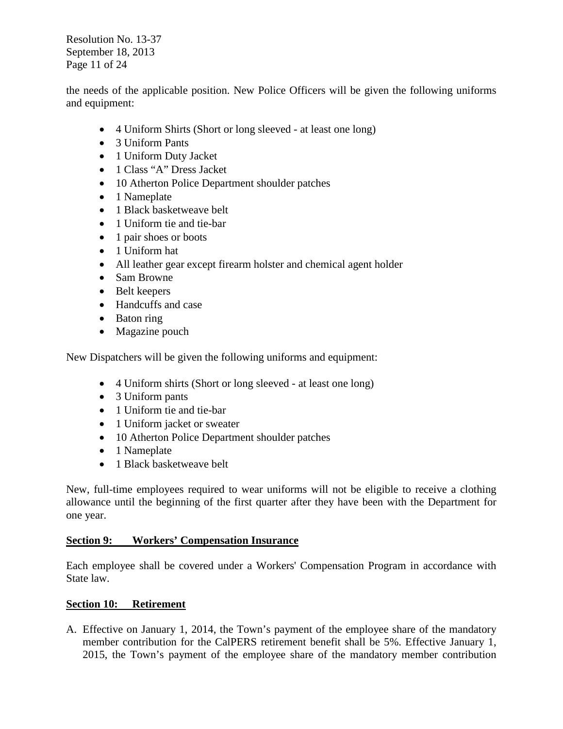Resolution No. 13-37 September 18, 2013 Page 11 of 24

the needs of the applicable position. New Police Officers will be given the following uniforms and equipment:

- 4 Uniform Shirts (Short or long sleeved at least one long)
- 3 Uniform Pants
- 1 Uniform Duty Jacket
- 1 Class "A" Dress Jacket
- 10 Atherton Police Department shoulder patches
- 1 Nameplate
- 1 Black basketweave belt
- 1 Uniform tie and tie-bar
- 1 pair shoes or boots
- 1 Uniform hat
- All leather gear except firearm holster and chemical agent holder
- Sam Browne
- Belt keepers
- Handcuffs and case
- Baton ring
- Magazine pouch

New Dispatchers will be given the following uniforms and equipment:

- 4 Uniform shirts (Short or long sleeved at least one long)
- 3 Uniform pants
- 1 Uniform tie and tie-bar
- 1 Uniform jacket or sweater
- 10 Atherton Police Department shoulder patches
- 1 Nameplate
- 1 Black basketweave belt

New, full-time employees required to wear uniforms will not be eligible to receive a clothing allowance until the beginning of the first quarter after they have been with the Department for one year.

# **Section 9: Workers' Compensation Insurance**

Each employee shall be covered under a Workers' Compensation Program in accordance with State law.

# **Section 10: Retirement**

A. Effective on January 1, 2014, the Town's payment of the employee share of the mandatory member contribution for the CalPERS retirement benefit shall be 5%. Effective January 1, 2015, the Town's payment of the employee share of the mandatory member contribution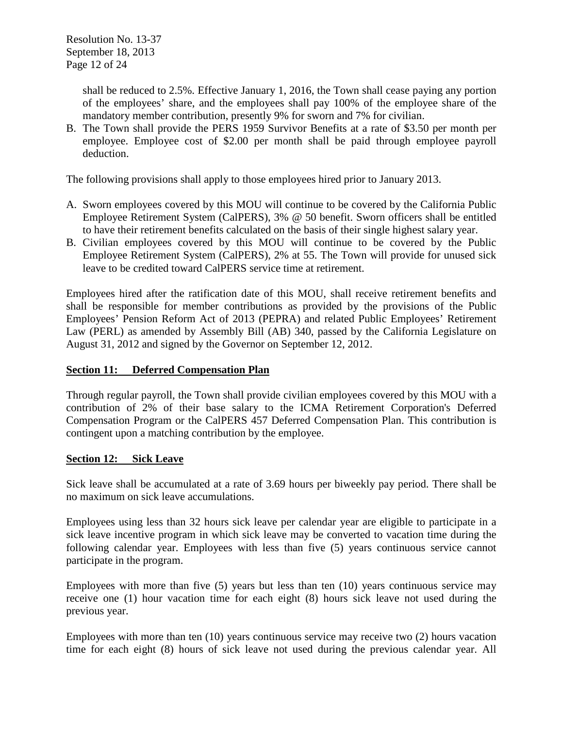Resolution No. 13-37 September 18, 2013 Page 12 of 24

> shall be reduced to 2.5%. Effective January 1, 2016, the Town shall cease paying any portion of the employees' share, and the employees shall pay 100% of the employee share of the mandatory member contribution, presently 9% for sworn and 7% for civilian.

B. The Town shall provide the PERS 1959 Survivor Benefits at a rate of \$3.50 per month per employee. Employee cost of \$2.00 per month shall be paid through employee payroll deduction.

The following provisions shall apply to those employees hired prior to January 2013.

- A. Sworn employees covered by this MOU will continue to be covered by the California Public Employee Retirement System (CalPERS), 3% @ 50 benefit. Sworn officers shall be entitled to have their retirement benefits calculated on the basis of their single highest salary year.
- B. Civilian employees covered by this MOU will continue to be covered by the Public Employee Retirement System (CalPERS), 2% at 55. The Town will provide for unused sick leave to be credited toward CalPERS service time at retirement.

Employees hired after the ratification date of this MOU, shall receive retirement benefits and shall be responsible for member contributions as provided by the provisions of the Public Employees' Pension Reform Act of 2013 (PEPRA) and related Public Employees' Retirement Law (PERL) as amended by Assembly Bill (AB) 340, passed by the California Legislature on August 31, 2012 and signed by the Governor on September 12, 2012.

# **Section 11: Deferred Compensation Plan**

Through regular payroll, the Town shall provide civilian employees covered by this MOU with a contribution of 2% of their base salary to the ICMA Retirement Corporation's Deferred Compensation Program or the CalPERS 457 Deferred Compensation Plan. This contribution is contingent upon a matching contribution by the employee.

# **Section 12: Sick Leave**

Sick leave shall be accumulated at a rate of 3.69 hours per biweekly pay period. There shall be no maximum on sick leave accumulations.

Employees using less than 32 hours sick leave per calendar year are eligible to participate in a sick leave incentive program in which sick leave may be converted to vacation time during the following calendar year. Employees with less than five (5) years continuous service cannot participate in the program.

Employees with more than five (5) years but less than ten (10) years continuous service may receive one (1) hour vacation time for each eight (8) hours sick leave not used during the previous year.

Employees with more than ten (10) years continuous service may receive two (2) hours vacation time for each eight (8) hours of sick leave not used during the previous calendar year. All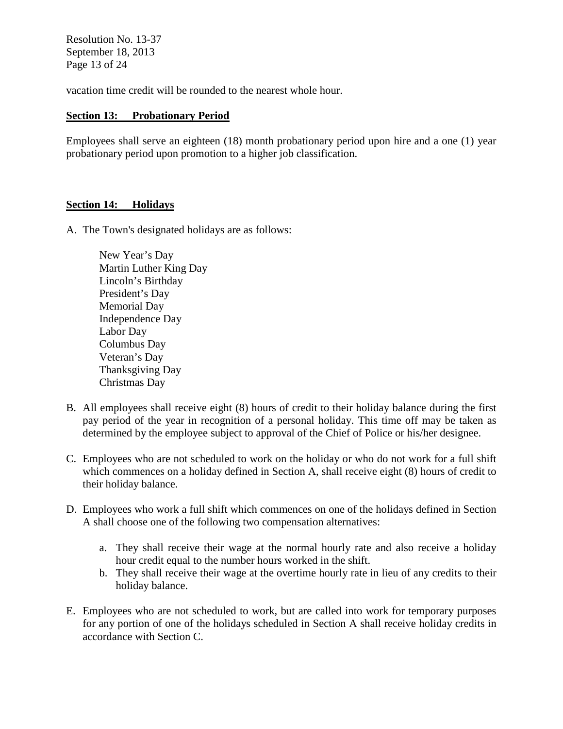Resolution No. 13-37 September 18, 2013 Page 13 of 24

vacation time credit will be rounded to the nearest whole hour.

# **Section 13: Probationary Period**

Employees shall serve an eighteen (18) month probationary period upon hire and a one (1) year probationary period upon promotion to a higher job classification.

# **Section 14: Holidays**

A. The Town's designated holidays are as follows:

New Year's Day Martin Luther King Day Lincoln's Birthday President's Day Memorial Day Independence Day Labor Day Columbus Day Veteran's Day Thanksgiving Day Christmas Day

- B. All employees shall receive eight (8) hours of credit to their holiday balance during the first pay period of the year in recognition of a personal holiday. This time off may be taken as determined by the employee subject to approval of the Chief of Police or his/her designee.
- C. Employees who are not scheduled to work on the holiday or who do not work for a full shift which commences on a holiday defined in Section A, shall receive eight (8) hours of credit to their holiday balance.
- D. Employees who work a full shift which commences on one of the holidays defined in Section A shall choose one of the following two compensation alternatives:
	- a. They shall receive their wage at the normal hourly rate and also receive a holiday hour credit equal to the number hours worked in the shift.
	- b. They shall receive their wage at the overtime hourly rate in lieu of any credits to their holiday balance.
- E. Employees who are not scheduled to work, but are called into work for temporary purposes for any portion of one of the holidays scheduled in Section A shall receive holiday credits in accordance with Section C.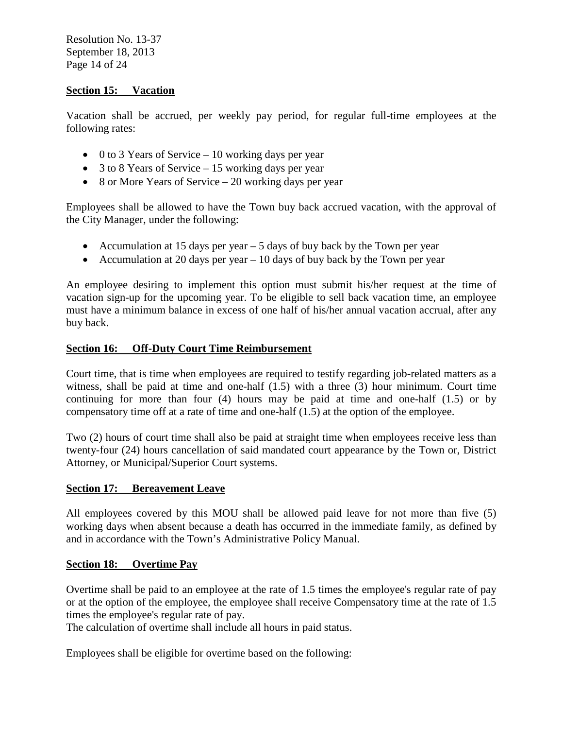Resolution No. 13-37 September 18, 2013 Page 14 of 24

## **Section 15: Vacation**

Vacation shall be accrued, per weekly pay period, for regular full-time employees at the following rates:

- 0 to 3 Years of Service  $-10$  working days per year
- 3 to 8 Years of Service 15 working days per year
- 8 or More Years of Service 20 working days per year

Employees shall be allowed to have the Town buy back accrued vacation, with the approval of the City Manager, under the following:

- Accumulation at 15 days per year 5 days of buy back by the Town per year
- Accumulation at 20 days per year 10 days of buy back by the Town per year

An employee desiring to implement this option must submit his/her request at the time of vacation sign-up for the upcoming year. To be eligible to sell back vacation time, an employee must have a minimum balance in excess of one half of his/her annual vacation accrual, after any buy back.

# **Section 16: Off-Duty Court Time Reimbursement**

Court time, that is time when employees are required to testify regarding job-related matters as a witness, shall be paid at time and one-half (1.5) with a three (3) hour minimum. Court time continuing for more than four (4) hours may be paid at time and one-half (1.5) or by compensatory time off at a rate of time and one-half (1.5) at the option of the employee.

Two (2) hours of court time shall also be paid at straight time when employees receive less than twenty-four (24) hours cancellation of said mandated court appearance by the Town or, District Attorney, or Municipal/Superior Court systems.

#### **Section 17: Bereavement Leave**

All employees covered by this MOU shall be allowed paid leave for not more than five (5) working days when absent because a death has occurred in the immediate family, as defined by and in accordance with the Town's Administrative Policy Manual.

#### **Section 18: Overtime Pay**

Overtime shall be paid to an employee at the rate of 1.5 times the employee's regular rate of pay or at the option of the employee, the employee shall receive Compensatory time at the rate of 1.5 times the employee's regular rate of pay.

The calculation of overtime shall include all hours in paid status.

Employees shall be eligible for overtime based on the following: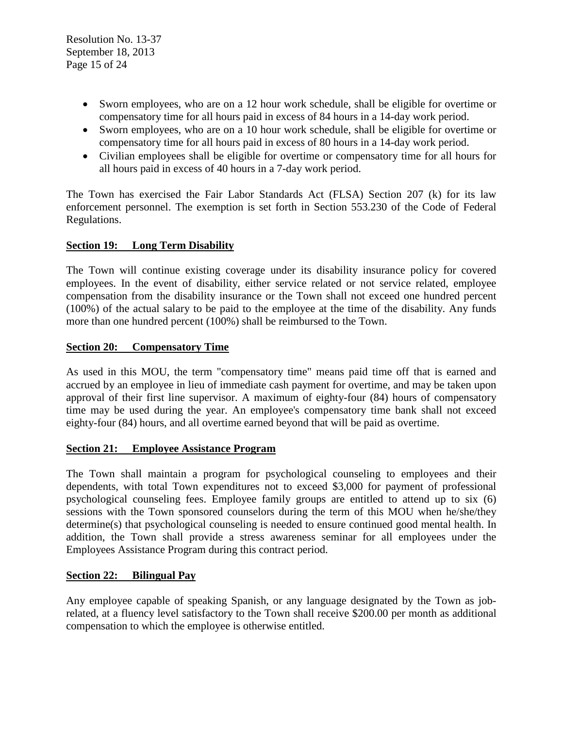- Sworn employees, who are on a 12 hour work schedule, shall be eligible for overtime or compensatory time for all hours paid in excess of 84 hours in a 14-day work period.
- Sworn employees, who are on a 10 hour work schedule, shall be eligible for overtime or compensatory time for all hours paid in excess of 80 hours in a 14-day work period.
- Civilian employees shall be eligible for overtime or compensatory time for all hours for all hours paid in excess of 40 hours in a 7-day work period.

The Town has exercised the Fair Labor Standards Act (FLSA) Section 207 (k) for its law enforcement personnel. The exemption is set forth in Section 553.230 of the Code of Federal Regulations.

# **Section 19: Long Term Disability**

The Town will continue existing coverage under its disability insurance policy for covered employees. In the event of disability, either service related or not service related, employee compensation from the disability insurance or the Town shall not exceed one hundred percent (100%) of the actual salary to be paid to the employee at the time of the disability. Any funds more than one hundred percent (100%) shall be reimbursed to the Town.

# **Section 20: Compensatory Time**

As used in this MOU, the term "compensatory time" means paid time off that is earned and accrued by an employee in lieu of immediate cash payment for overtime, and may be taken upon approval of their first line supervisor. A maximum of eighty-four (84) hours of compensatory time may be used during the year. An employee's compensatory time bank shall not exceed eighty-four (84) hours, and all overtime earned beyond that will be paid as overtime.

# **Section 21: Employee Assistance Program**

The Town shall maintain a program for psychological counseling to employees and their dependents, with total Town expenditures not to exceed \$3,000 for payment of professional psychological counseling fees. Employee family groups are entitled to attend up to six (6) sessions with the Town sponsored counselors during the term of this MOU when he/she/they determine(s) that psychological counseling is needed to ensure continued good mental health. In addition, the Town shall provide a stress awareness seminar for all employees under the Employees Assistance Program during this contract period.

# **Section 22: Bilingual Pay**

Any employee capable of speaking Spanish, or any language designated by the Town as jobrelated, at a fluency level satisfactory to the Town shall receive \$200.00 per month as additional compensation to which the employee is otherwise entitled.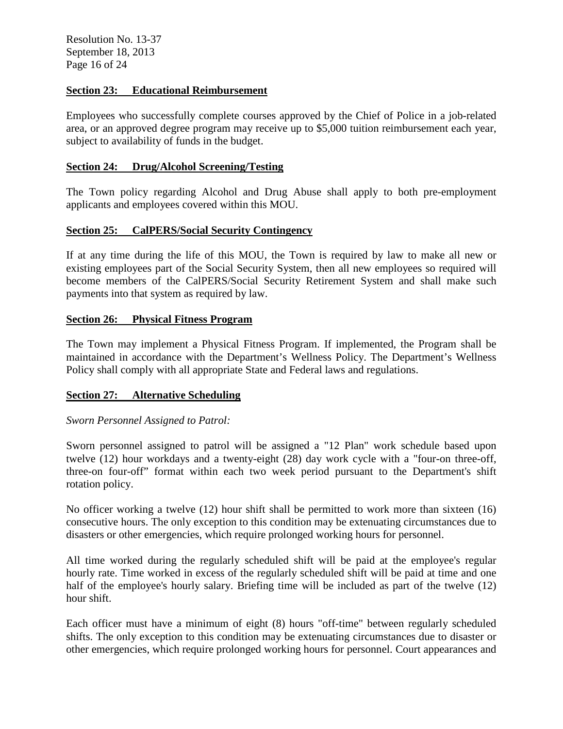Resolution No. 13-37 September 18, 2013 Page 16 of 24

# **Section 23: Educational Reimbursement**

Employees who successfully complete courses approved by the Chief of Police in a job-related area, or an approved degree program may receive up to \$5,000 tuition reimbursement each year, subject to availability of funds in the budget.

## **Section 24: Drug/Alcohol Screening/Testing**

The Town policy regarding Alcohol and Drug Abuse shall apply to both pre-employment applicants and employees covered within this MOU.

## **Section 25: CalPERS/Social Security Contingency**

If at any time during the life of this MOU, the Town is required by law to make all new or existing employees part of the Social Security System, then all new employees so required will become members of the CalPERS/Social Security Retirement System and shall make such payments into that system as required by law.

#### **Section 26: Physical Fitness Program**

The Town may implement a Physical Fitness Program. If implemented, the Program shall be maintained in accordance with the Department's Wellness Policy. The Department's Wellness Policy shall comply with all appropriate State and Federal laws and regulations.

# **Section 27: Alternative Scheduling**

# *Sworn Personnel Assigned to Patrol:*

Sworn personnel assigned to patrol will be assigned a "12 Plan" work schedule based upon twelve (12) hour workdays and a twenty-eight (28) day work cycle with a "four-on three-off, three-on four-off" format within each two week period pursuant to the Department's shift rotation policy.

No officer working a twelve (12) hour shift shall be permitted to work more than sixteen (16) consecutive hours. The only exception to this condition may be extenuating circumstances due to disasters or other emergencies, which require prolonged working hours for personnel.

All time worked during the regularly scheduled shift will be paid at the employee's regular hourly rate. Time worked in excess of the regularly scheduled shift will be paid at time and one half of the employee's hourly salary. Briefing time will be included as part of the twelve (12) hour shift.

Each officer must have a minimum of eight (8) hours "off-time" between regularly scheduled shifts. The only exception to this condition may be extenuating circumstances due to disaster or other emergencies, which require prolonged working hours for personnel. Court appearances and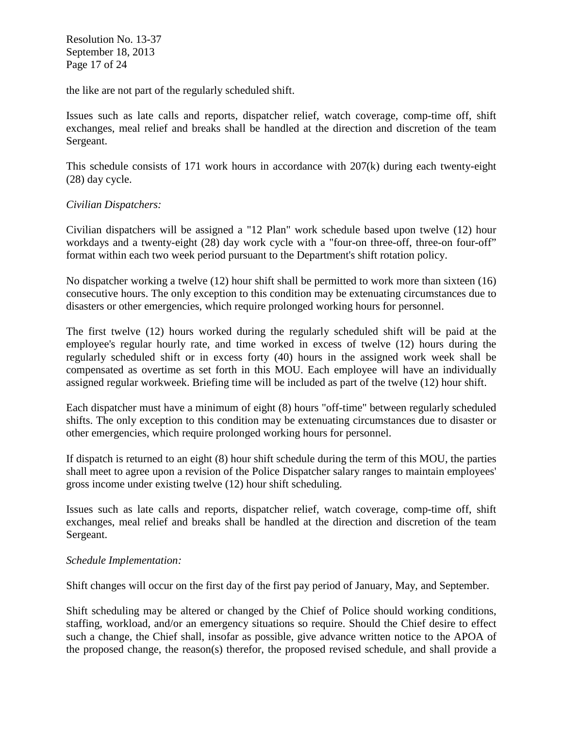Resolution No. 13-37 September 18, 2013 Page 17 of 24

the like are not part of the regularly scheduled shift.

Issues such as late calls and reports, dispatcher relief, watch coverage, comp-time off, shift exchanges, meal relief and breaks shall be handled at the direction and discretion of the team Sergeant.

This schedule consists of 171 work hours in accordance with 207(k) during each twenty-eight (28) day cycle.

# *Civilian Dispatchers:*

Civilian dispatchers will be assigned a "12 Plan" work schedule based upon twelve (12) hour workdays and a twenty-eight (28) day work cycle with a "four-on three-off, three-on four-off" format within each two week period pursuant to the Department's shift rotation policy.

No dispatcher working a twelve (12) hour shift shall be permitted to work more than sixteen (16) consecutive hours. The only exception to this condition may be extenuating circumstances due to disasters or other emergencies, which require prolonged working hours for personnel.

The first twelve (12) hours worked during the regularly scheduled shift will be paid at the employee's regular hourly rate, and time worked in excess of twelve (12) hours during the regularly scheduled shift or in excess forty (40) hours in the assigned work week shall be compensated as overtime as set forth in this MOU. Each employee will have an individually assigned regular workweek. Briefing time will be included as part of the twelve (12) hour shift.

Each dispatcher must have a minimum of eight (8) hours "off-time" between regularly scheduled shifts. The only exception to this condition may be extenuating circumstances due to disaster or other emergencies, which require prolonged working hours for personnel.

If dispatch is returned to an eight (8) hour shift schedule during the term of this MOU, the parties shall meet to agree upon a revision of the Police Dispatcher salary ranges to maintain employees' gross income under existing twelve (12) hour shift scheduling.

Issues such as late calls and reports, dispatcher relief, watch coverage, comp-time off, shift exchanges, meal relief and breaks shall be handled at the direction and discretion of the team Sergeant.

# *Schedule Implementation:*

Shift changes will occur on the first day of the first pay period of January, May, and September.

Shift scheduling may be altered or changed by the Chief of Police should working conditions, staffing, workload, and/or an emergency situations so require. Should the Chief desire to effect such a change, the Chief shall, insofar as possible, give advance written notice to the APOA of the proposed change, the reason(s) therefor, the proposed revised schedule, and shall provide a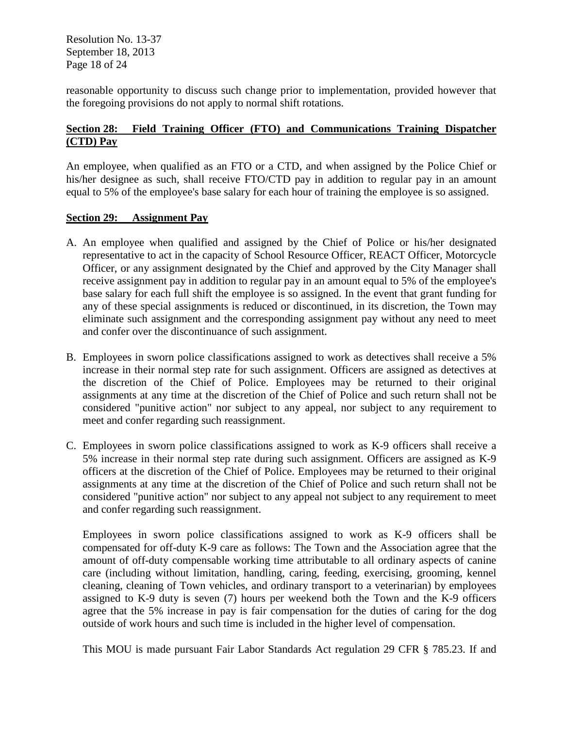Resolution No. 13-37 September 18, 2013 Page 18 of 24

reasonable opportunity to discuss such change prior to implementation, provided however that the foregoing provisions do not apply to normal shift rotations.

# **Section 28: Field Training Officer (FTO) and Communications Training Dispatcher (CTD) Pay**

An employee, when qualified as an FTO or a CTD, and when assigned by the Police Chief or his/her designee as such, shall receive FTO/CTD pay in addition to regular pay in an amount equal to 5% of the employee's base salary for each hour of training the employee is so assigned.

#### **Section 29: Assignment Pay**

- A. An employee when qualified and assigned by the Chief of Police or his/her designated representative to act in the capacity of School Resource Officer, REACT Officer, Motorcycle Officer, or any assignment designated by the Chief and approved by the City Manager shall receive assignment pay in addition to regular pay in an amount equal to 5% of the employee's base salary for each full shift the employee is so assigned. In the event that grant funding for any of these special assignments is reduced or discontinued, in its discretion, the Town may eliminate such assignment and the corresponding assignment pay without any need to meet and confer over the discontinuance of such assignment.
- B. Employees in sworn police classifications assigned to work as detectives shall receive a 5% increase in their normal step rate for such assignment. Officers are assigned as detectives at the discretion of the Chief of Police. Employees may be returned to their original assignments at any time at the discretion of the Chief of Police and such return shall not be considered "punitive action" nor subject to any appeal, nor subject to any requirement to meet and confer regarding such reassignment.
- C. Employees in sworn police classifications assigned to work as K-9 officers shall receive a 5% increase in their normal step rate during such assignment. Officers are assigned as K-9 officers at the discretion of the Chief of Police. Employees may be returned to their original assignments at any time at the discretion of the Chief of Police and such return shall not be considered "punitive action" nor subject to any appeal not subject to any requirement to meet and confer regarding such reassignment.

Employees in sworn police classifications assigned to work as K-9 officers shall be compensated for off-duty K-9 care as follows: The Town and the Association agree that the amount of off-duty compensable working time attributable to all ordinary aspects of canine care (including without limitation, handling, caring, feeding, exercising, grooming, kennel cleaning, cleaning of Town vehicles, and ordinary transport to a veterinarian) by employees assigned to K-9 duty is seven (7) hours per weekend both the Town and the K-9 officers agree that the 5% increase in pay is fair compensation for the duties of caring for the dog outside of work hours and such time is included in the higher level of compensation.

This MOU is made pursuant Fair Labor Standards Act regulation 29 CFR § 785.23. If and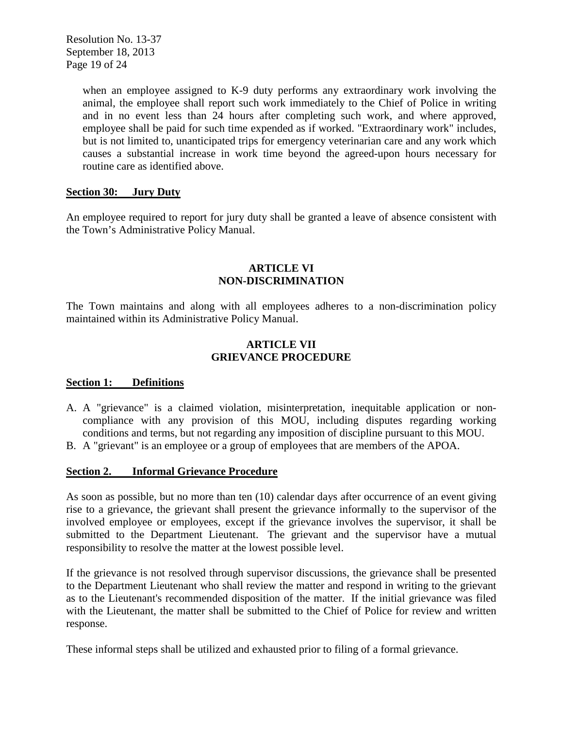Resolution No. 13-37 September 18, 2013 Page 19 of 24

> when an employee assigned to K-9 duty performs any extraordinary work involving the animal, the employee shall report such work immediately to the Chief of Police in writing and in no event less than 24 hours after completing such work, and where approved, employee shall be paid for such time expended as if worked. "Extraordinary work" includes, but is not limited to, unanticipated trips for emergency veterinarian care and any work which causes a substantial increase in work time beyond the agreed-upon hours necessary for routine care as identified above.

# **Section 30: Jury Duty**

An employee required to report for jury duty shall be granted a leave of absence consistent with the Town's Administrative Policy Manual.

# **ARTICLE VI NON-DISCRIMINATION**

The Town maintains and along with all employees adheres to a non-discrimination policy maintained within its Administrative Policy Manual.

# **ARTICLE VII GRIEVANCE PROCEDURE**

# **Section 1: Definitions**

- A. A "grievance" is a claimed violation, misinterpretation, inequitable application or noncompliance with any provision of this MOU, including disputes regarding working conditions and terms, but not regarding any imposition of discipline pursuant to this MOU.
- B. A "grievant" is an employee or a group of employees that are members of the APOA.

# **Section 2. Informal Grievance Procedure**

As soon as possible, but no more than ten (10) calendar days after occurrence of an event giving rise to a grievance, the grievant shall present the grievance informally to the supervisor of the involved employee or employees, except if the grievance involves the supervisor, it shall be submitted to the Department Lieutenant. The grievant and the supervisor have a mutual responsibility to resolve the matter at the lowest possible level.

If the grievance is not resolved through supervisor discussions, the grievance shall be presented to the Department Lieutenant who shall review the matter and respond in writing to the grievant as to the Lieutenant's recommended disposition of the matter. If the initial grievance was filed with the Lieutenant, the matter shall be submitted to the Chief of Police for review and written response.

These informal steps shall be utilized and exhausted prior to filing of a formal grievance.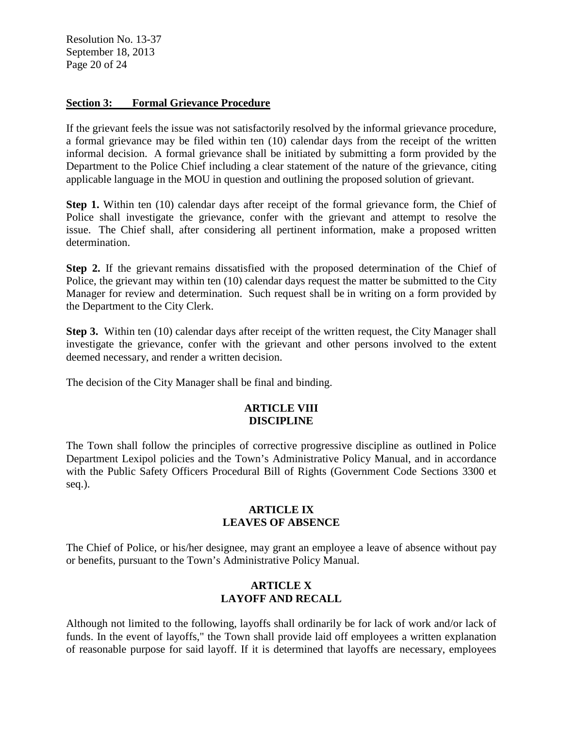Resolution No. 13-37 September 18, 2013 Page 20 of 24

# **Section 3: Formal Grievance Procedure**

If the grievant feels the issue was not satisfactorily resolved by the informal grievance procedure, a formal grievance may be filed within ten (10) calendar days from the receipt of the written informal decision. A formal grievance shall be initiated by submitting a form provided by the Department to the Police Chief including a clear statement of the nature of the grievance, citing applicable language in the MOU in question and outlining the proposed solution of grievant.

**Step 1.** Within ten (10) calendar days after receipt of the formal grievance form, the Chief of Police shall investigate the grievance, confer with the grievant and attempt to resolve the issue. The Chief shall, after considering all pertinent information, make a proposed written determination.

**Step 2.** If the grievant remains dissatisfied with the proposed determination of the Chief of Police, the grievant may within ten (10) calendar days request the matter be submitted to the City Manager for review and determination. Such request shall be in writing on a form provided by the Department to the City Clerk.

**Step 3.** Within ten (10) calendar days after receipt of the written request, the City Manager shall investigate the grievance, confer with the grievant and other persons involved to the extent deemed necessary, and render a written decision.

The decision of the City Manager shall be final and binding.

# **ARTICLE VIII DISCIPLINE**

The Town shall follow the principles of corrective progressive discipline as outlined in Police Department Lexipol policies and the Town's Administrative Policy Manual, and in accordance with the Public Safety Officers Procedural Bill of Rights (Government Code Sections 3300 et seq.).

#### **ARTICLE IX LEAVES OF ABSENCE**

The Chief of Police, or his/her designee, may grant an employee a leave of absence without pay or benefits, pursuant to the Town's Administrative Policy Manual.

# **ARTICLE X LAYOFF AND RECALL**

Although not limited to the following, layoffs shall ordinarily be for lack of work and/or lack of funds. In the event of layoffs," the Town shall provide laid off employees a written explanation of reasonable purpose for said layoff. If it is determined that layoffs are necessary, employees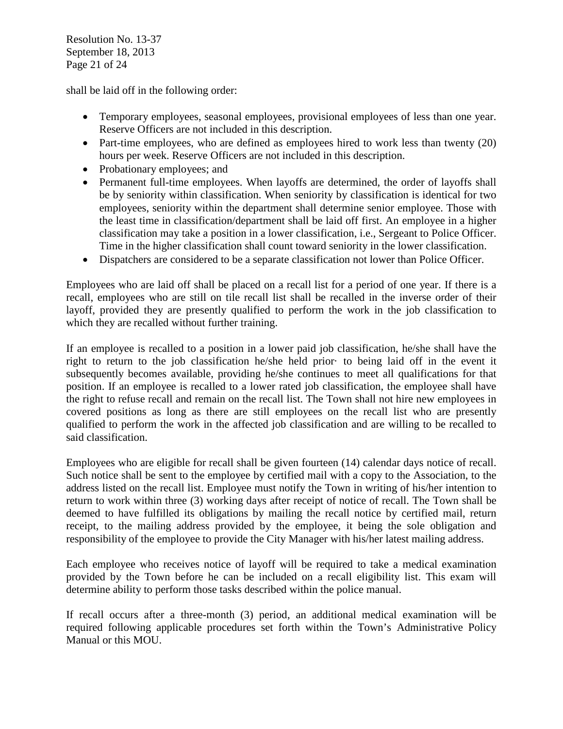Resolution No. 13-37 September 18, 2013 Page 21 of 24

shall be laid off in the following order:

- Temporary employees, seasonal employees, provisional employees of less than one year. Reserve Officers are not included in this description.
- Part-time employees, who are defined as employees hired to work less than twenty (20) hours per week. Reserve Officers are not included in this description.
- Probationary employees; and
- Permanent full-time employees. When layoffs are determined, the order of layoffs shall be by seniority within classification. When seniority by classification is identical for two employees, seniority within the department shall determine senior employee. Those with the least time in classification/department shall be laid off first. An employee in a higher classification may take a position in a lower classification, i.e., Sergeant to Police Officer. Time in the higher classification shall count toward seniority in the lower classification.
- Dispatchers are considered to be a separate classification not lower than Police Officer.

Employees who are laid off shall be placed on a recall list for a period of one year. If there is a recall, employees who are still on tile recall list shall be recalled in the inverse order of their layoff, provided they are presently qualified to perform the work in the job classification to which they are recalled without further training.

If an employee is recalled to a position in a lower paid job classification, he/she shall have the right to return to the job classification he/she held prior· to being laid off in the event it subsequently becomes available, providing he/she continues to meet all qualifications for that position. If an employee is recalled to a lower rated job classification, the employee shall have the right to refuse recall and remain on the recall list. The Town shall not hire new employees in covered positions as long as there are still employees on the recall list who are presently qualified to perform the work in the affected job classification and are willing to be recalled to said classification.

Employees who are eligible for recall shall be given fourteen (14) calendar days notice of recall. Such notice shall be sent to the employee by certified mail with a copy to the Association, to the address listed on the recall list. Employee must notify the Town in writing of his/her intention to return to work within three (3) working days after receipt of notice of recall. The Town shall be deemed to have fulfilled its obligations by mailing the recall notice by certified mail, return receipt, to the mailing address provided by the employee, it being the sole obligation and responsibility of the employee to provide the City Manager with his/her latest mailing address.

Each employee who receives notice of layoff will be required to take a medical examination provided by the Town before he can be included on a recall eligibility list. This exam will determine ability to perform those tasks described within the police manual.

If recall occurs after a three-month (3) period, an additional medical examination will be required following applicable procedures set forth within the Town's Administrative Policy Manual or this MOU.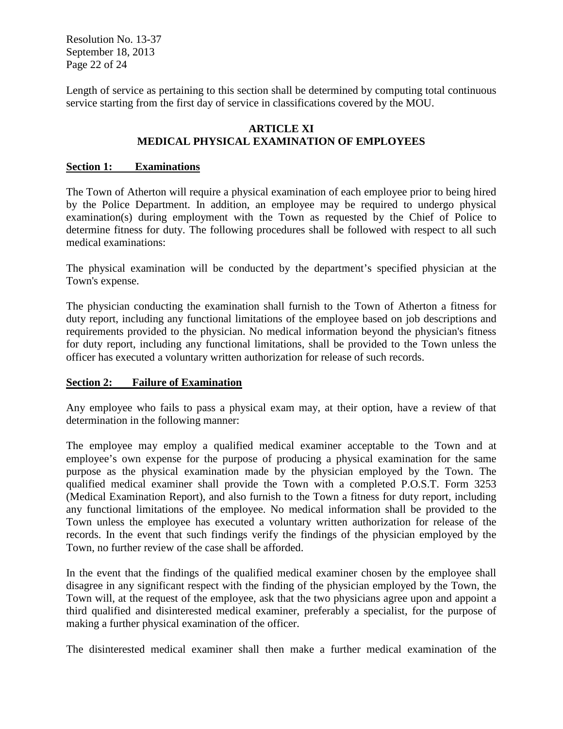Resolution No. 13-37 September 18, 2013 Page 22 of 24

Length of service as pertaining to this section shall be determined by computing total continuous service starting from the first day of service in classifications covered by the MOU.

# **ARTICLE XI MEDICAL PHYSICAL EXAMINATION OF EMPLOYEES**

#### **Section 1: Examinations**

The Town of Atherton will require a physical examination of each employee prior to being hired by the Police Department. In addition, an employee may be required to undergo physical examination(s) during employment with the Town as requested by the Chief of Police to determine fitness for duty. The following procedures shall be followed with respect to all such medical examinations:

The physical examination will be conducted by the department's specified physician at the Town's expense.

The physician conducting the examination shall furnish to the Town of Atherton a fitness for duty report, including any functional limitations of the employee based on job descriptions and requirements provided to the physician. No medical information beyond the physician's fitness for duty report, including any functional limitations, shall be provided to the Town unless the officer has executed a voluntary written authorization for release of such records.

# **Section 2: Failure of Examination**

Any employee who fails to pass a physical exam may, at their option, have a review of that determination in the following manner:

The employee may employ a qualified medical examiner acceptable to the Town and at employee's own expense for the purpose of producing a physical examination for the same purpose as the physical examination made by the physician employed by the Town. The qualified medical examiner shall provide the Town with a completed P.O.S.T. Form 3253 (Medical Examination Report), and also furnish to the Town a fitness for duty report, including any functional limitations of the employee. No medical information shall be provided to the Town unless the employee has executed a voluntary written authorization for release of the records. In the event that such findings verify the findings of the physician employed by the Town, no further review of the case shall be afforded.

In the event that the findings of the qualified medical examiner chosen by the employee shall disagree in any significant respect with the finding of the physician employed by the Town, the Town will, at the request of the employee, ask that the two physicians agree upon and appoint a third qualified and disinterested medical examiner, preferably a specialist, for the purpose of making a further physical examination of the officer.

The disinterested medical examiner shall then make a further medical examination of the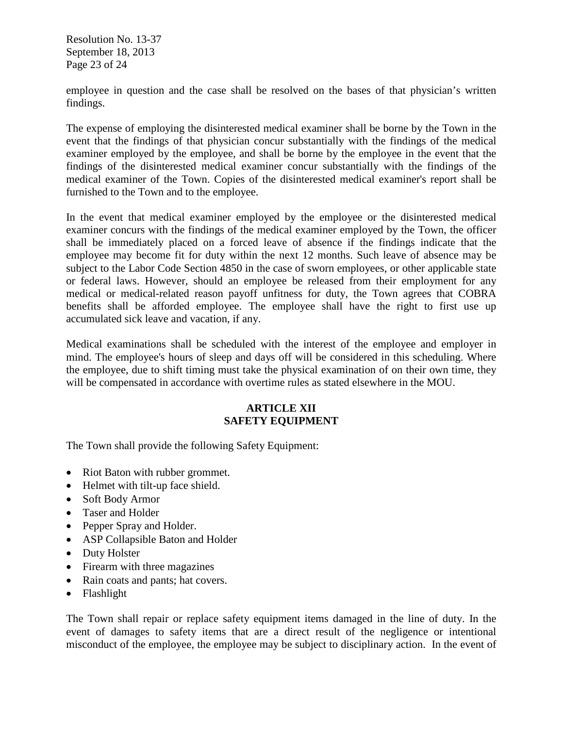Resolution No. 13-37 September 18, 2013 Page 23 of 24

employee in question and the case shall be resolved on the bases of that physician's written findings.

The expense of employing the disinterested medical examiner shall be borne by the Town in the event that the findings of that physician concur substantially with the findings of the medical examiner employed by the employee, and shall be borne by the employee in the event that the findings of the disinterested medical examiner concur substantially with the findings of the medical examiner of the Town. Copies of the disinterested medical examiner's report shall be furnished to the Town and to the employee.

In the event that medical examiner employed by the employee or the disinterested medical examiner concurs with the findings of the medical examiner employed by the Town, the officer shall be immediately placed on a forced leave of absence if the findings indicate that the employee may become fit for duty within the next 12 months. Such leave of absence may be subject to the Labor Code Section 4850 in the case of sworn employees, or other applicable state or federal laws. However, should an employee be released from their employment for any medical or medical-related reason payoff unfitness for duty, the Town agrees that COBRA benefits shall be afforded employee. The employee shall have the right to first use up accumulated sick leave and vacation, if any.

Medical examinations shall be scheduled with the interest of the employee and employer in mind. The employee's hours of sleep and days off will be considered in this scheduling. Where the employee, due to shift timing must take the physical examination of on their own time, they will be compensated in accordance with overtime rules as stated elsewhere in the MOU.

# **ARTICLE XII SAFETY EQUIPMENT**

The Town shall provide the following Safety Equipment:

- Riot Baton with rubber grommet.
- Helmet with tilt-up face shield.
- Soft Body Armor
- Taser and Holder
- Pepper Spray and Holder.
- ASP Collapsible Baton and Holder
- Duty Holster
- Firearm with three magazines
- Rain coats and pants; hat covers.
- Flashlight

The Town shall repair or replace safety equipment items damaged in the line of duty. In the event of damages to safety items that are a direct result of the negligence or intentional misconduct of the employee, the employee may be subject to disciplinary action. In the event of